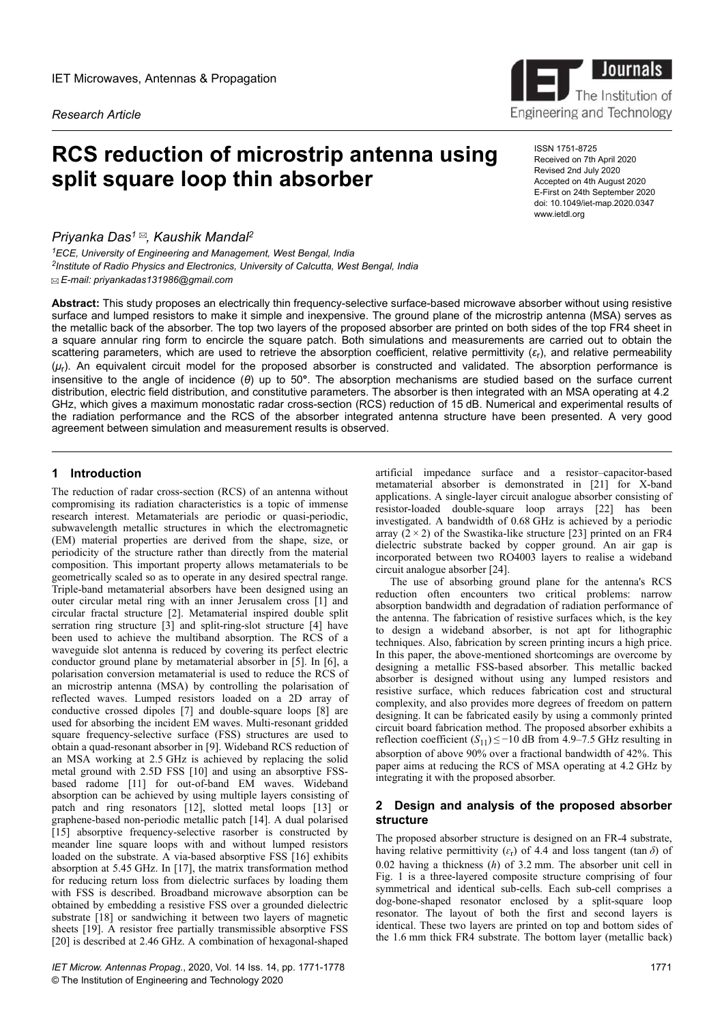*Research Article*

# **RCS reduction of microstrip antenna using split square loop thin absorber**

*Priyanka Das<sup>1</sup> , Kaushik Mandal<sup>2</sup>*

*<sup>1</sup>ECE, University of Engineering and Management, West Bengal, India 2 Institute of Radio Physics and Electronics, University of Calcutta, West Bengal, India*  $\mathbb E$ -mail: priyankadas131986@gmail.com



ISSN 1751-8725 Received on 7th April 2020 Revised 2nd July 2020 Accepted on 4th August 2020 E-First on 24th September 2020 doi: 10.1049/iet-map.2020.0347 www.ietdl.org

**Abstract:** This study proposes an electrically thin frequency-selective surface-based microwave absorber without using resistive surface and lumped resistors to make it simple and inexpensive. The ground plane of the microstrip antenna (MSA) serves as the metallic back of the absorber. The top two layers of the proposed absorber are printed on both sides of the top FR4 sheet in a square annular ring form to encircle the square patch. Both simulations and measurements are carried out to obtain the scattering parameters, which are used to retrieve the absorption coefficient, relative permittivity (*ɛ*<sup>r</sup> ), and relative permeability (*ȝ*r ). An equivalent circuit model for the proposed absorber is constructed and validated. The absorption performance is insensitive to the angle of incidence (*θ*) up to 50**°**. The absorption mechanisms are studied based on the surface current distribution, electric field distribution, and constitutive parameters. The absorber is then integrated with an MSA operating at 4.2 GHz, which gives a maximum monostatic radar cross-section (RCS) reduction of 15 dB. Numerical and experimental results of the radiation performance and the RCS of the absorber integrated antenna structure have been presented. A very good agreement between simulation and measurement results is observed.

## **1** Introduction

The reduction of radar cross-section (RCS) of an antenna without compromising its radiation characteristics is a topic of immense research interest. Metamaterials are periodic or quasi-periodic, subwavelength metallic structures in which the electromagnetic (EM) material properties are derived from the shape, size, or periodicity of the structure rather than directly from the material composition. This important property allows metamaterials to be geometrically scaled so as to operate in any desired spectral range. Triple-band metamaterial absorbers have been designed using an outer circular metal ring with an inner Jerusalem cross [1] and circular fractal structure [2]. Metamaterial inspired double split serration ring structure [3] and split-ring-slot structure [4] have been used to achieve the multiband absorption. The RCS of a waveguide slot antenna is reduced by covering its perfect electric conductor ground plane by metamaterial absorber in [5]. In [6], a polarisation conversion metamaterial is used to reduce the RCS of an microstrip antenna (MSA) by controlling the polarisation of reflected waves. Lumped resistors loaded on a 2D array of conductive crossed dipoles [7] and double-square loops [8] are used for absorbing the incident EM waves. Multi-resonant gridded square frequency-selective surface (FSS) structures are used to obtain a quad-resonant absorber in [9]. Wideband RCS reduction of an MSA working at 2.5 GHz is achieved by replacing the solid metal ground with 2.5D FSS [10] and using an absorptive FSSbased radome [11] for out-of-band EM waves. Wideband absorption can be achieved by using multiple layers consisting of patch and ring resonators [12], slotted metal loops [13] or graphene-based non-periodic metallic patch [14]. A dual polarised [15] absorptive frequency-selective rasorber is constructed by meander line square loops with and without lumped resistors loaded on the substrate. A via-based absorptive FSS  $[16]$  exhibits absorption at 5.45 GHz. In [17], the matrix transformation method for reducing return loss from dielectric surfaces by loading them with FSS is described. Broadband microwave absorption can be obtained by embedding a resistive FSS over a grounded dielectric substrate [18] or sandwiching it between two layers of magnetic sheets [19]. A resistor free partially transmissible absorptive FSS [20] is described at 2.46 GHz. A combination of hexagonal-shaped

*IET Microw. Antennas Propag.*, 2020, Vol. 14 Iss. 14, pp. 1771-1778 © The Institution of Engineering and Technology 2020

artificial impedance surface and a resistor–capacitor-based metamaterial absorber is demonstrated in [21] for X-band applications. A single-layer circuit analogue absorber consisting of resistor-loaded double-square loop arrays [22] has been investigated. A bandwidth of 0.68 GHz is achieved by a periodic array  $(2 \times 2)$  of the Swastika-like structure [23] printed on an FR4 dielectric substrate backed by copper ground. An air gap is incorporated between two RO4003 layers to realise a wideband circuit analogue absorber [24].

The use of absorbing ground plane for the antenna's RCS reduction often encounters two critical problems: narrow absorption bandwidth and degradation of radiation performance of the antenna. The fabrication of resistive surfaces which, is the key to design a wideband absorber, is not apt for lithographic techniques. Also, fabrication by screen printing incurs a high price. In this paper, the above-mentioned shortcomings are overcome by designing a metallic FSS-based absorber. This metallic backed absorber is designed without using any lumped resistors and resistive surface, which reduces fabrication cost and structural complexity, and also provides more degrees of freedom on pattern designing. It can be fabricated easily by using a commonly printed circuit board fabrication method. The proposed absorber exhibits a reflection coefficient  $(S_{11}) \le -10$  dB from 4.9–7.5 GHz resulting in absorption of above 90% over a fractional bandwidth of 42%. This paper aims at reducing the RCS of MSA operating at 4.2 GHz by integrating it with the proposed absorber.

## **2Design and analysis of the proposed absorber structure**

The proposed absorber structure is designed on an FR-4 substrate, having relative permittivity ( $\varepsilon$ <sup>r</sup>) of 4.4 and loss tangent (tan  $\delta$ ) of 0.02 having a thickness (*h*) of 3.2 mm. The absorber unit cell in Fig. 1 is a three-layered composite structure comprising of four symmetrical and identical sub-cells. Each sub-cell comprises a dog-bone-shaped resonator enclosed by a split-square loop resonator. The layout of both the first and second layers is identical. These two layers are printed on top and bottom sides of the 1.6 mm thick FR4 substrate. The bottom layer (metallic back)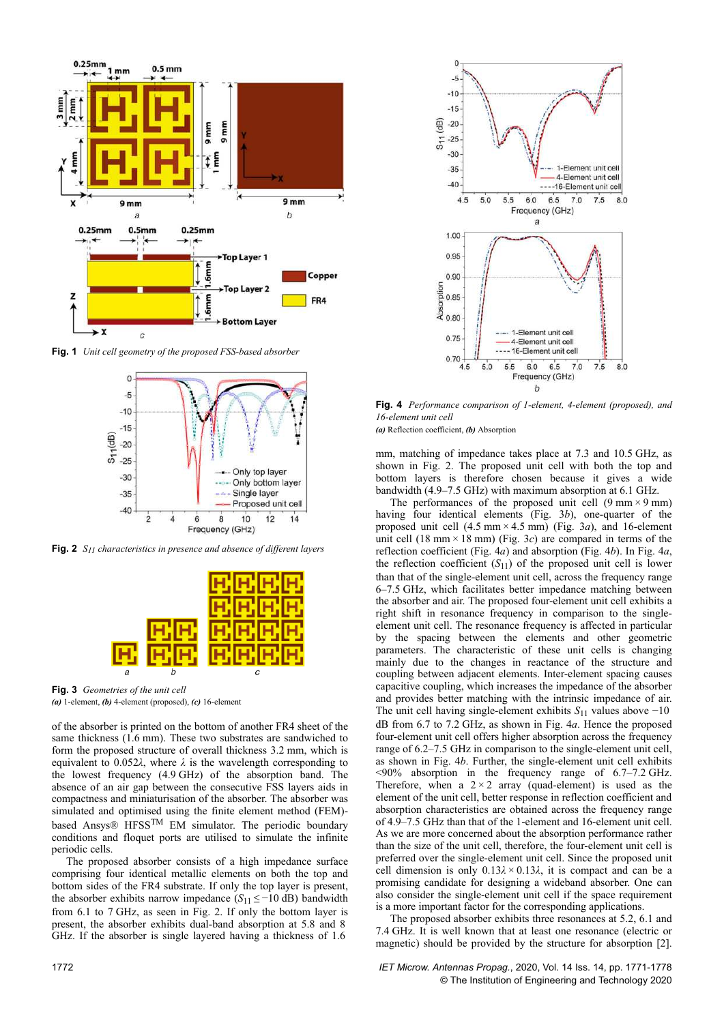

**Fig. 1** *Unit cell geometry of the proposed FSS-based absorber*



**Fig. 2** *S11 characteristics in presence and absence of different layers*



**Fig. 3** *Geometries of the unit cell (a)* 1-element, *(b)* 4-element (proposed), *(c)* 16-element

of the absorber is printed on the bottom of another FR4 sheet of the same thickness (1.6 mm). These two substrates are sandwiched to form the proposed structure of overall thickness 3.2 mm, which is equivalent to 0.052 $\lambda$ , where  $\lambda$  is the wavelength corresponding to the lowest frequency (4.9 GHz) of the absorption band. The absence of an air gap between the consecutive FSS layers aids in compactness and miniaturisation of the absorber. The absorber was simulated and optimised using the finite element method (FEM) based Ansys® HFSSTM EM simulator. The periodic boundary conditions and floquet ports are utilised to simulate the infinite periodic cells.

The proposed absorber consists of a high impedance surface comprising four identical metallic elements on both the top and bottom sides of the FR4 substrate. If only the top layer is present, the absorber exhibits narrow impedance  $(S_{11} \le -10)$  dB) bandwidth from 6.1 to 7 GHz, as seen in Fig. 2. If only the bottom layer is present, the absorber exhibits dual-band absorption at 5.8 and 8  GHz. If the absorber is single layered having a thickness of 1.6 



**Fig. 4** *Performance comparison of 1-element, 4-element (proposed), and 16-element unit cell*

*(a)* Reflection coefficient, *(b)* Absorption

mm, matching of impedance takes place at 7.3 and 10.5 GHz, as shown in Fig. 2. The proposed unit cell with both the top and bottom layers is therefore chosen because it gives a wide bandwidth (4.9–7.5 GHz) with maximum absorption at 6.1 GHz.

The performances of the proposed unit cell  $(9 \text{ mm} \times 9 \text{ mm})$ having four identical elements (Fig. 3*b*), one-quarter of the proposed unit cell  $(4.5 \text{ mm} \times 4.5 \text{ mm})$  (Fig. 3*a*), and 16-element unit cell  $(18 \text{ mm} \times 18 \text{ mm})$  (Fig. 3*c*) are compared in terms of the reflection coefficient (Fig. 4*a*) and absorption (Fig. 4*b*). In Fig. 4*a*, the reflection coefficient  $(S_{11})$  of the proposed unit cell is lower than that of the single-element unit cell, across the frequency range 6–7.5 GHz, which facilitates better impedance matching between the absorber and air. The proposed four-element unit cell exhibits a right shift in resonance frequency in comparison to the singleelement unit cell. The resonance frequency is affected in particular by the spacing between the elements and other geometric parameters. The characteristic of these unit cells is changing mainly due to the changes in reactance of the structure and coupling between adjacent elements. Inter-element spacing causes capacitive coupling, which increases the impedance of the absorber and provides better matching with the intrinsic impedance of air. The unit cell having single-element exhibits  $S_{11}$  values above  $-10$ dB from 6.7 to 7.2 GHz, as shown in Fig. 4*a*. Hence the proposed four-element unit cell offers higher absorption across the frequency range of 6.2–7.5 GHz in comparison to the single-element unit cell, as shown in Fig. 4*b*. Further, the single-element unit cell exhibits <90% absorption in the frequency range of 6.7–7.2 GHz. Therefore, when a  $2 \times 2$  array (quad-element) is used as the element of the unit cell, better response in reflection coefficient and absorption characteristics are obtained across the frequency range of 4.9–7.5 GHz than that of the 1-element and 16-element unit cell. As we are more concerned about the absorption performance rather than the size of the unit cell, therefore, the four-element unit cell is preferred over the single-element unit cell. Since the proposed unit cell dimension is only  $0.13\lambda \times 0.13\lambda$ , it is compact and can be a promising candidate for designing a wideband absorber. One can also consider the single-element unit cell if the space requirement is a more important factor for the corresponding applications.

The proposed absorber exhibits three resonances at 5.2, 6.1 and 7.4 GHz. It is well known that at least one resonance (electric or magnetic) should be provided by the structure for absorption [2].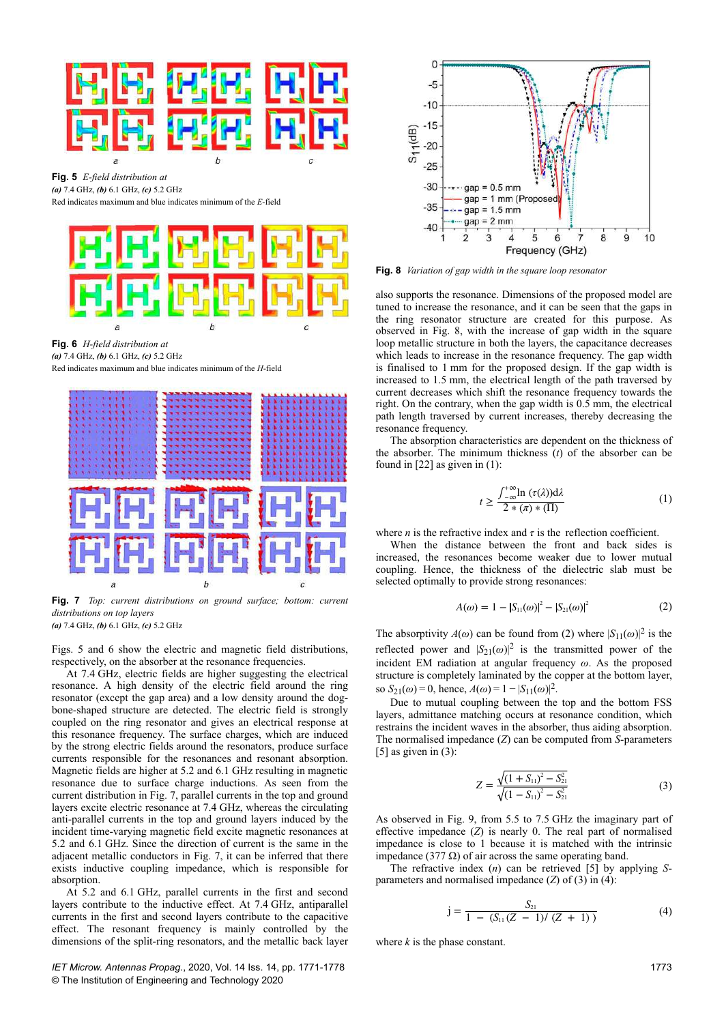

**Fig. 5** *E-field distribution at (a)* 7.4 GHz, *(b)* 6.1 GHz, *(c)* 5.2 GHz Red indicates maximum and blue indicates minimum of the *E*-field



**Fig. 6** *H-field distribution at (a)* 7.4 GHz, *(b)* 6.1 GHz, *(c)* 5.2 GHz

Red indicates maximum and blue indicates minimum of the *H*-field



**Fig. 7** *Top: current distributions on ground surface; bottom: current distributions on top layers*

*(a)* 7.4 GHz, *(b)* 6.1 GHz, *(c)* 5.2 GHz

Figs. 5 and 6 show the electric and magnetic field distributions, respectively, on the absorber at the resonance frequencies.

At 7.4 GHz, electric fields are higher suggesting the electrical resonance. A high density of the electric field around the ring resonator (except the gap area) and a low density around the dogbone-shaped structure are detected. The electric field is strongly coupled on the ring resonator and gives an electrical response at this resonance frequency. The surface charges, which are induced by the strong electric fields around the resonators, produce surface currents responsible for the resonances and resonant absorption. Magnetic fields are higher at 5.2 and 6.1 GHz resulting in magnetic resonance due to surface charge inductions. As seen from the current distribution in Fig. 7, parallel currents in the top and ground layers excite electric resonance at 7.4 GHz, whereas the circulating anti-parallel currents in the top and ground layers induced by the incident time-varying magnetic field excite magnetic resonances at 5.2 and 6.1 GHz. Since the direction of current is the same in the adjacent metallic conductors in Fig. 7, it can be inferred that there exists inductive coupling impedance, which is responsible for absorption.

At 5.2 and 6.1 GHz, parallel currents in the first and second layers contribute to the inductive effect. At 7.4 GHz, antiparallel currents in the first and second layers contribute to the capacitive effect. The resonant frequency is mainly controlled by the dimensions of the split-ring resonators, and the metallic back layer

*IET Microw. Antennas Propag.*, 2020, Vol. 14 Iss. 14, pp. 1771-1778 © The Institution of Engineering and Technology 2020



**Fig. 8** *Variation of gap width in the square loop resonator*

also supports the resonance. Dimensions of the proposed model are tuned to increase the resonance, and it can be seen that the gaps in the ring resonator structure are created for this purpose. As observed in Fig. 8, with the increase of gap width in the square loop metallic structure in both the layers, the capacitance decreases which leads to increase in the resonance frequency. The gap width is finalised to 1 mm for the proposed design. If the gap width is increased to 1.5 mm, the electrical length of the path traversed by current decreases which shift the resonance frequency towards the right. On the contrary, when the gap width is 0.5 mm, the electrical path length traversed by current increases, thereby decreasing the resonance frequency.

The absorption characteristics are dependent on the thickness of the absorber. The minimum thickness (*t*) of the absorber can be found in [22] as given in (1):

$$
t \ge \frac{\int_{-\infty}^{+\infty} \ln (\tau(\lambda)) d\lambda}{2 * (\pi) * (\Pi)} \tag{1}
$$

where *n* is the refractive index and  $\tau$  is the reflection coefficient.

When the distance between the front and back sides is increased, the resonances become weaker due to lower mutual coupling. Hence, the thickness of the dielectric slab must be selected optimally to provide strong resonances:

$$
A(\omega) = 1 - |S_{11}(\omega)|^2 - |S_{21}(\omega)|^2 \tag{2}
$$

The absorptivity  $A(\omega)$  can be found from (2) where  $|S_{11}(\omega)|^2$  is the reflected power and  $|S_{21}(\omega)|^2$  is the transmitted power of the incident EM radiation at angular frequency *ω*. As the proposed structure is completely laminated by the copper at the bottom layer, so  $S_{21}(\omega) = 0$ , hence,  $A(\omega) = 1 - |S_{11}(\omega)|^2$ .

Due to mutual coupling between the top and the bottom FSS layers, admittance matching occurs at resonance condition, which restrains the incident waves in the absorber, thus aiding absorption. The normalised impedance (*Z*) can be computed from *S*-parameters  $[5]$  as given in  $(3)$ :

$$
Z = \frac{\sqrt{(1 + S_{11})^2 - S_{21}^2}}{\sqrt{(1 - S_{11})^2 - S_{21}^2}}
$$
(3)

As observed in Fig. 9, from 5.5 to 7.5 GHz the imaginary part of effective impedance (*Z*) is nearly 0. The real part of normalised impedance is close to 1 because it is matched with the intrinsic impedance (377 Ω) of air across the same operating band.

The refractive index (*n*) can be retrieved [5] by applying *S*parameters and normalised impedance (*Z*) of (3) in (4):

$$
j = \frac{S_{21}}{1 - (S_{11}(Z - 1)/(Z + 1))}
$$
(4)

where *k* is the phase constant.

1773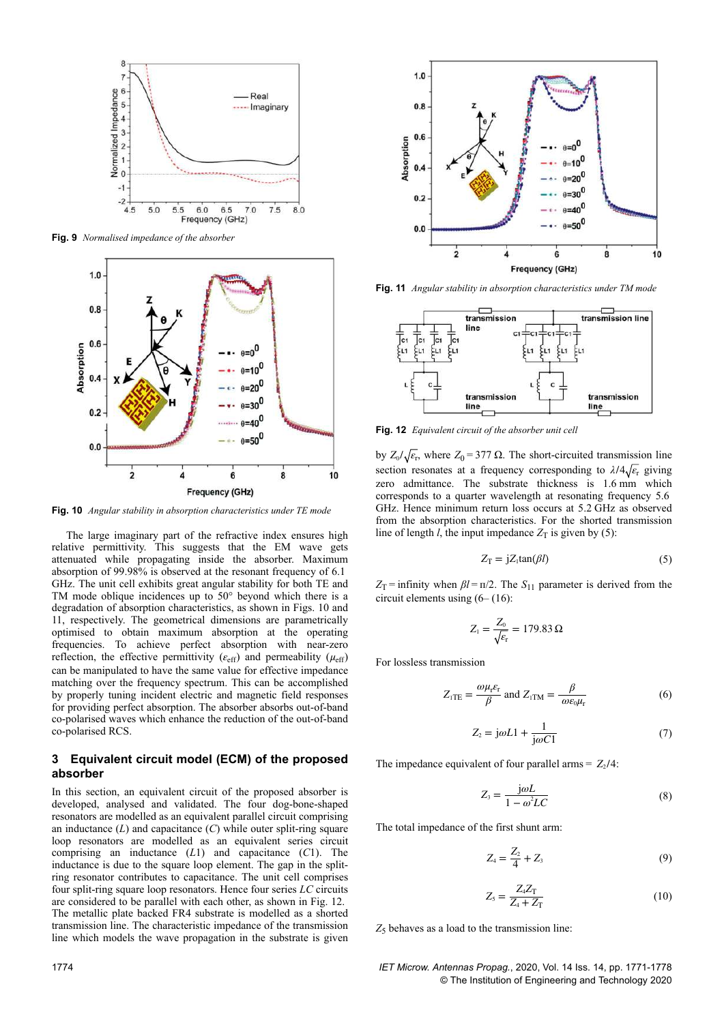

**Fig. 9** *Normalised impedance of the absorber*



**Fig. 10** *Angular stability in absorption characteristics under TE mode*

The large imaginary part of the refractive index ensures high relative permittivity. This suggests that the EM wave gets attenuated while propagating inside the absorber. Maximum absorption of 99.98% is observed at the resonant frequency of 6.1  GHz. The unit cell exhibits great angular stability for both TE and TM mode oblique incidences up to 50° beyond which there is a degradation of absorption characteristics, as shown in Figs. 10 and 11, respectively. The geometrical dimensions are parametrically optimised to obtain maximum absorption at the operating frequencies. To achieve perfect absorption with near-zero reflection, the effective permittivity  $(\varepsilon_{\text{eff}})$  and permeability  $(\mu_{\text{eff}})$ can be manipulated to have the same value for effective impedance matching over the frequency spectrum. This can be accomplished by properly tuning incident electric and magnetic field responses for providing perfect absorption. The absorber absorbs out-of-band co-polarised waves which enhance the reduction of the out-of-band co-polarised RCS.

## **3Equivalent circuit model (ECM) of the proposed absorber**

In this section, an equivalent circuit of the proposed absorber is developed, analysed and validated. The four dog-bone-shaped resonators are modelled as an equivalent parallel circuit comprising an inductance (*L*) and capacitance (*C*) while outer split-ring square loop resonators are modelled as an equivalent series circuit comprising an inductance (*L*1) and capacitance (*C*1). The inductance is due to the square loop element. The gap in the splitring resonator contributes to capacitance. The unit cell comprises four split-ring square loop resonators. Hence four series *LC* circuits are considered to be parallel with each other, as shown in Fig. 12. The metallic plate backed FR4 substrate is modelled as a shorted transmission line. The characteristic impedance of the transmission line which models the wave propagation in the substrate is given



**Fig. 11** *Angular stability in absorption characteristics under TM mode*



**Fig. 12** *Equivalent circuit of the absorber unit cell*

by  $Z_0/\sqrt{\varepsilon_r}$ , where  $Z_0 = 377 \Omega$ . The short-circuited transmission line section resonates at a frequency corresponding to  $\lambda/4\sqrt{\epsilon_r}$  giving zero admittance. The substrate thickness is 1.6 mm which corresponds to a quarter wavelength at resonating frequency 5.6  GHz. Hence minimum return loss occurs at 5.2 GHz as observed from the absorption characteristics. For the shorted transmission line of length *l*, the input impedance  $Z_T$  is given by (5):

$$
Z_{\rm T} = jZ_{\rm l} \tan(\beta l) \tag{5}
$$

*Z*<sub>T</sub> = infinity when *βl* =  $π/2$ . The *S*<sub>11</sub> parameter is derived from the circuit elements using (6– (16):

$$
Z_1 = \frac{Z_0}{\sqrt{\varepsilon_{\rm r}}} = 179.83 \,\Omega
$$

For lossless transmission

$$
Z_{1TE} = \frac{\omega \mu_r \varepsilon_r}{\beta} \text{ and } Z_{1TM} = \frac{\beta}{\omega \varepsilon_0 \mu_r} \tag{6}
$$

$$
Z_2 = j\omega L1 + \frac{1}{j\omega C1} \tag{7}
$$

The impedance equivalent of four parallel arms =  $Z_2/4$ :

$$
Z_3 = \frac{j\omega L}{1 - \omega^2 LC} \tag{8}
$$

The total impedance of the first shunt arm:

$$
Z_4 = \frac{Z_2}{4} + Z_3 \tag{9}
$$

$$
Z_{5} = \frac{Z_{4}Z_{T}}{Z_{4} + Z_{T}}
$$
 (10)

 $Z_5$  behaves as a load to the transmission line:

1774 *IET Microw. Antennas Propag.*, 2020, Vol. 14 Iss. 14, pp. 1771-1778 © The Institution of Engineering and Technology 2020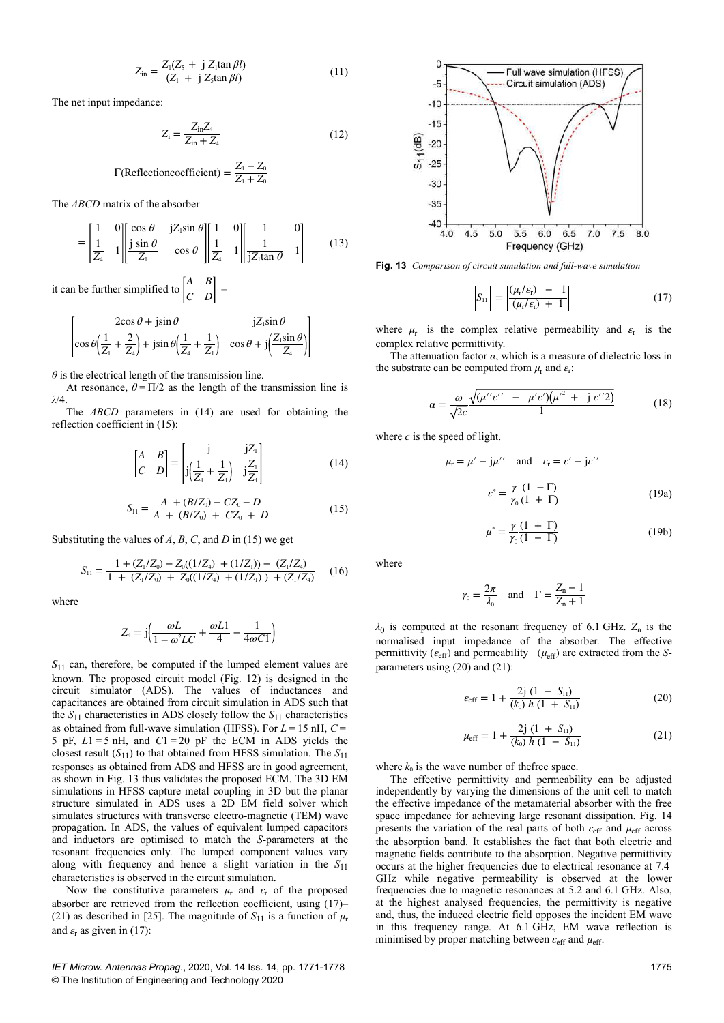$$
Z_{\rm in} = \frac{Z_{\rm I}(Z_{\rm 5} + \text{j} Z_{\rm I} \tan \beta l)}{(Z_{\rm I} + \text{j} Z_{\rm 5} \tan \beta l)}\tag{11}
$$

The net input impedance:

$$
Z_{i} = \frac{Z_{in}Z_{4}}{Z_{in} + Z_{4}}
$$
 (12)

$$
\Gamma(\text{Reflectioncoefficient}) = \frac{Z_1 - Z_0}{Z_1 + Z_0}
$$

The *ABCD* matrix of the absorber

$$
= \begin{bmatrix} 1 & 0 \\ \frac{1}{Z_4} & 1 \end{bmatrix} \begin{bmatrix} \cos \theta & \mathrm{j} Z_1 \sin \theta \\ \frac{\mathrm{j} \sin \theta}{Z_1} & \cos \theta \end{bmatrix} \begin{bmatrix} 1 & 0 \\ \frac{1}{Z_4} & 1 \end{bmatrix} \begin{bmatrix} 1 & 0 \\ \frac{1}{\mathrm{j} Z_1 \tan \theta} & 1 \end{bmatrix}
$$
(13)

it can be further simplified to  $\begin{bmatrix} A & B \\ C & D \end{bmatrix}$  $\begin{vmatrix} C & D \end{vmatrix} =$ 

$$
2\cos\theta + j\sin\theta \qquad jZ_1\sin\theta
$$
  

$$
\cos\theta \left(\frac{1}{Z_1} + \frac{2}{Z_4}\right) + j\sin\theta \left(\frac{1}{Z_4} + \frac{1}{Z_1}\right) \quad \cos\theta + j\left(\frac{Z_1\sin\theta}{Z_4}\right)
$$

 $\theta$  is the electrical length of the transmission line.

At resonance,  $\theta = \Pi/2$  as the length of the transmission line is *λ*/4.

The *ABCD* parameters in (14) are used for obtaining the reflection coefficient in (15):

$$
\begin{bmatrix} A & B \\ C & D \end{bmatrix} = \begin{bmatrix} j & jZ_1 \\ j(\frac{1}{Z_4} + \frac{1}{Z_4}) & j\frac{Z_1}{Z_4} \end{bmatrix}
$$
(14)

$$
S_{11} = \frac{A + (B/Z_0) - CZ_0 - D}{A + (B/Z_0) + CZ_0 + D}
$$
 (15)

Substituting the values of *A*, *B*, *C*, and *D* in (15) we get

$$
S_{11} = \frac{1 + (Z_1/Z_0) - Z_0((1/Z_4) + (1/Z_1)) - (Z_1/Z_4)}{1 + (Z_1/Z_0) + Z_0((1/Z_4) + (1/Z_1)) + (Z_1/Z_4)} \tag{16}
$$

where

$$
Z_4 = j \left( \frac{\omega L}{1 - \omega^2 LC} + \frac{\omega L1}{4} - \frac{1}{4\omega C1} \right)
$$

 $S<sub>11</sub>$  can, therefore, be computed if the lumped element values are known. The proposed circuit model (Fig. 12) is designed in the circuit simulator (ADS). The values of inductances and capacitances are obtained from circuit simulation in ADS such that the  $S_{11}$  characteristics in ADS closely follow the  $S_{11}$  characteristics as obtained from full-wave simulation (HFSS). For *L* = 15 nH, *C* =  5 pF,  $L1 = 5$  nH, and  $C1 = 20$  pF the ECM in ADS yields the closest result  $(S_{11})$  to that obtained from HFSS simulation. The  $S_{11}$ responses as obtained from ADS and HFSS are in good agreement, as shown in Fig. 13 thus validates the proposed ECM. The 3D EM simulations in HFSS capture metal coupling in 3D but the planar structure simulated in ADS uses a 2D EM field solver which simulates structures with transverse electro-magnetic (TEM) wave propagation. In ADS, the values of equivalent lumped capacitors and inductors are optimised to match the *S*-parameters at the resonant frequencies only. The lumped component values vary along with frequency and hence a slight variation in the  $S_{11}$ characteristics is observed in the circuit simulation.

Now the constitutive parameters  $\mu_r$  and  $\varepsilon_r$  of the proposed absorber are retrieved from the reflection coefficient, using (17)– (21) as described in [25]. The magnitude of  $S_{11}$  is a function of  $\mu_r$ and  $\varepsilon$ <sub>r</sub> as given in (17):



**Fig. 13** *Comparison of circuit simulation and full-wave simulation*

$$
\left| S_{11} \right| = \left| \frac{(\mu_r/\varepsilon_r) - 1}{(\mu_r/\varepsilon_r) + 1} \right| \tag{17}
$$

where  $\mu_r$  is the complex relative permeability and  $\varepsilon_r$  is the complex relative permittivity.

The attenuation factor *α*, which is a measure of dielectric loss in the substrate can be computed from  $\mu_r$  and  $\varepsilon_r$ :

$$
\alpha = \frac{\omega}{\sqrt{2c}} \frac{\sqrt{(\mu''e'' - \mu'e')(\mu'^2 + j e''2)}}{1}
$$
(18)

where *c* is the speed of light.

 $\mu_{\rm r} =$ 

$$
\mu' - j\mu'' \quad \text{and} \quad \varepsilon_{\rm r} = \varepsilon' - j\varepsilon''
$$

$$
\varepsilon^* = \frac{\gamma (1 - \Gamma)}{\gamma_0 (1 + \Gamma)} \tag{19a}
$$

$$
\mu^* = \frac{\gamma (1 + \Gamma)}{\gamma_0 (1 - \Gamma)}\tag{19b}
$$

where

$$
\gamma_0 = \frac{2\pi}{\lambda_0}
$$
 and  $\Gamma = \frac{Z_n - 1}{Z_n + 1}$ 

 $\lambda_0$  is computed at the resonant frequency of 6.1 GHz.  $Z_n$  is the normalised input impedance of the absorber. The effective permittivity ( $\varepsilon_{\text{eff}}$ ) and permeability ( $\mu_{\text{eff}}$ ) are extracted from the *S*parameters using (20) and (21):

$$
\varepsilon_{\rm eff} = 1 + \frac{2j(1 - S_{11})}{(k_0) h(1 + S_{11})}
$$
(20)

$$
\mu_{\rm eff} = 1 + \frac{2j (1 + S_{11})}{(k_0) h (1 - S_{11})} \tag{21}
$$

where  $k_0$  is the wave number of thefree space.

The effective permittivity and permeability can be adjusted independently by varying the dimensions of the unit cell to match the effective impedance of the metamaterial absorber with the free space impedance for achieving large resonant dissipation. Fig. 14 presents the variation of the real parts of both  $\varepsilon_{\text{eff}}$  and  $\mu_{\text{eff}}$  across the absorption band. It establishes the fact that both electric and magnetic fields contribute to the absorption. Negative permittivity occurs at the higher frequencies due to electrical resonance at 7.4  GHz while negative permeability is observed at the lower frequencies due to magnetic resonances at 5.2 and 6.1 GHz. Also, at the highest analysed frequencies, the permittivity is negative and, thus, the induced electric field opposes the incident EM wave in this frequency range. At 6.1 GHz, EM wave reflection is minimised by proper matching between *ε*eff and *μ*eff.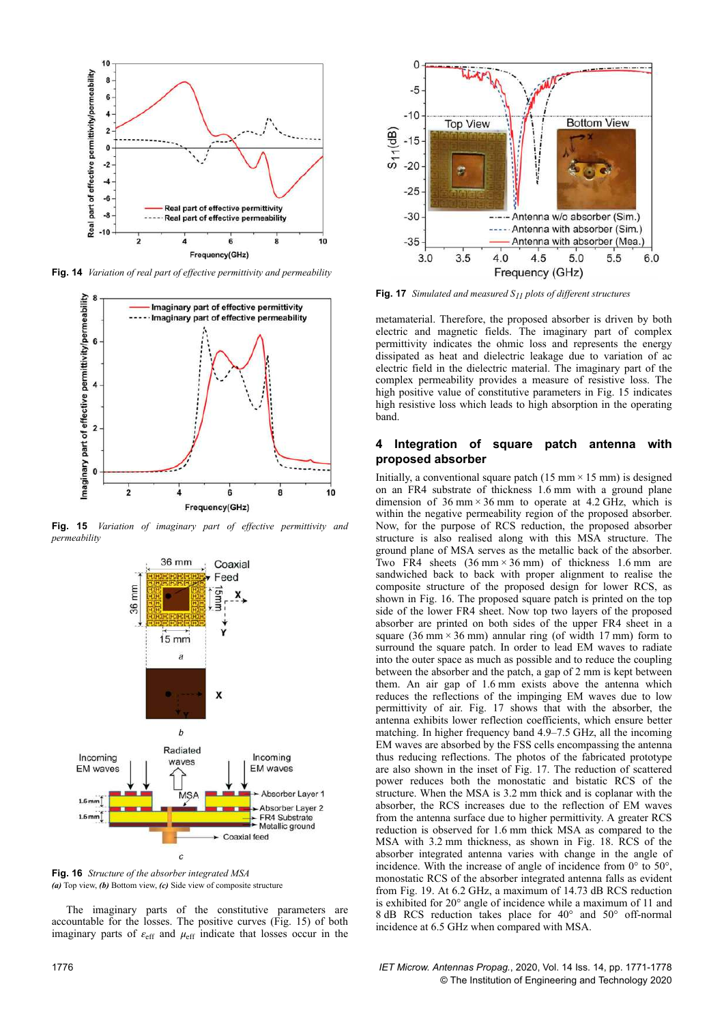

**Fig. 14** *Variation of real part of effective permittivity and permeability*



**Fig. 15** *Variation of imaginary part of effective permittivity and permeability*



**Fig. 16** *Structure of the absorber integrated MSA (a)* Top view, *(b)* Bottom view, *(c)* Side view of composite structure

The imaginary parts of the constitutive parameters are accountable for the losses. The positive curves (Fig. 15) of both imaginary parts of  $\varepsilon_{\text{eff}}$  and  $\mu_{\text{eff}}$  indicate that losses occur in the

 $-10$ **Top View Bottom View**  $S<sub>11</sub>(dB)$  $-15$  $-20$  $-25$  $-30$ ----- Antenna w/o absorber (Sim.) ----- Antenna with absorber (Sim.)  $-35$ Antenna with absorber (Mea.)  $3.0$  $3.5$  $4.0$  $4.5$  $5.0$ Frequency (GHz) **Fig. 17** *Simulated and measured S11 plots of different structures* metamaterial. Therefore, the proposed absorber is driven by both

 $\mathbf{0}$ 

 $-5$ 

electric and magnetic fields. The imaginary part of complex permittivity indicates the ohmic loss and represents the energy dissipated as heat and dielectric leakage due to variation of ac electric field in the dielectric material. The imaginary part of the complex permeability provides a measure of resistive loss. The high positive value of constitutive parameters in Fig. 15 indicates high resistive loss which leads to high absorption in the operating band.

5.5

 $6.0$ 

#### **4Integration of square patch antenna with proposed absorber**

Initially, a conventional square patch (15 mm  $\times$  15 mm) is designed on an FR4 substrate of thickness 1.6 mm with a ground plane dimension of  $36 \text{ mm} \times 36 \text{ mm}$  to operate at  $4.2 \text{ GHz}$ , which is within the negative permeability region of the proposed absorber. Now, for the purpose of RCS reduction, the proposed absorber structure is also realised along with this MSA structure. The ground plane of MSA serves as the metallic back of the absorber. Two FR4 sheets  $(36 \text{ mm} \times 36 \text{ mm})$  of thickness 1.6 mm are sandwiched back to back with proper alignment to realise the composite structure of the proposed design for lower RCS, as shown in Fig. 16. The proposed square patch is printed on the top side of the lower FR4 sheet. Now top two layers of the proposed absorber are printed on both sides of the upper FR4 sheet in a square (36 mm  $\times$  36 mm) annular ring (of width 17 mm) form to surround the square patch. In order to lead EM waves to radiate into the outer space as much as possible and to reduce the coupling between the absorber and the patch, a gap of 2 mm is kept between them. An air gap of 1.6 mm exists above the antenna which reduces the reflections of the impinging EM waves due to low permittivity of air. Fig. 17 shows that with the absorber, the antenna exhibits lower reflection coefficients, which ensure better matching. In higher frequency band 4.9–7.5 GHz, all the incoming EM waves are absorbed by the FSS cells encompassing the antenna thus reducing reflections. The photos of the fabricated prototype are also shown in the inset of Fig. 17. The reduction of scattered power reduces both the monostatic and bistatic RCS of the structure. When the MSA is 3.2 mm thick and is coplanar with the absorber, the RCS increases due to the reflection of EM waves from the antenna surface due to higher permittivity. A greater RCS reduction is observed for 1.6 mm thick MSA as compared to the MSA with 3.2 mm thickness, as shown in Fig. 18. RCS of the absorber integrated antenna varies with change in the angle of incidence. With the increase of angle of incidence from 0° to 50°, monostatic RCS of the absorber integrated antenna falls as evident from Fig. 19. At 6.2 GHz, a maximum of 14.73 dB RCS reduction is exhibited for 20° angle of incidence while a maximum of 11 and 8 dB RCS reduction takes place for 40° and 50° off-normal incidence at 6.5 GHz when compared with MSA.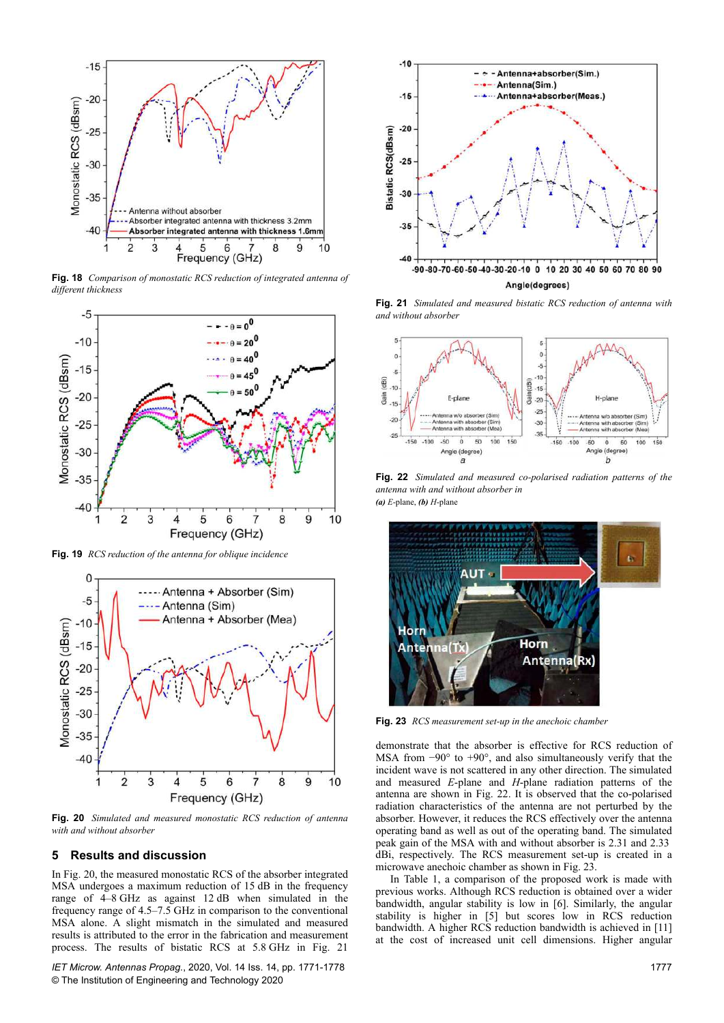

**Fig. 18** *Comparison of monostatic RCS reduction of integrated antenna of different thickness*



**Fig. 19** *RCS reduction of the antenna for oblique incidence*



**Fig. 20** *Simulated and measured monostatic RCS reduction of antenna with and without absorber*

#### **5Results and discussion**

In Fig. 20, the measured monostatic RCS of the absorber integrated MSA undergoes a maximum reduction of 15 dB in the frequency range of 4–8 GHz as against 12 dB when simulated in the frequency range of 4.5–7.5 GHz in comparison to the conventional MSA alone. A slight mismatch in the simulated and measured results is attributed to the error in the fabrication and measurement process. The results of bistatic RCS at 5.8 GHz in Fig. 21

*IET Microw. Antennas Propag.*, 2020, Vol. 14 Iss. 14, pp. 1771-1778 © The Institution of Engineering and Technology 2020



**Fig. 21** *Simulated and measured bistatic RCS reduction of antenna with and without absorber*



**Fig. 22** *Simulated and measured co-polarised radiation patterns of the antenna with and without absorber in (a) E*-plane, *(b) H*-plane



**Fig. 23** *RCS measurement set-up in the anechoic chamber*

demonstrate that the absorber is effective for RCS reduction of MSA from −90° to +90°, and also simultaneously verify that the incident wave is not scattered in any other direction. The simulated and measured *E*-plane and *H*-plane radiation patterns of the antenna are shown in Fig. 22. It is observed that the co-polarised radiation characteristics of the antenna are not perturbed by the absorber. However, it reduces the RCS effectively over the antenna operating band as well as out of the operating band. The simulated peak gain of the MSA with and without absorber is 2.31 and 2.33  dBi, respectively. The RCS measurement set-up is created in a microwave anechoic chamber as shown in Fig. 23.

In Table 1, a comparison of the proposed work is made with previous works. Although RCS reduction is obtained over a wider bandwidth, angular stability is low in [6]. Similarly, the angular stability is higher in [5] but scores low in RCS reduction bandwidth. A higher RCS reduction bandwidth is achieved in [11] at the cost of increased unit cell dimensions. Higher angular